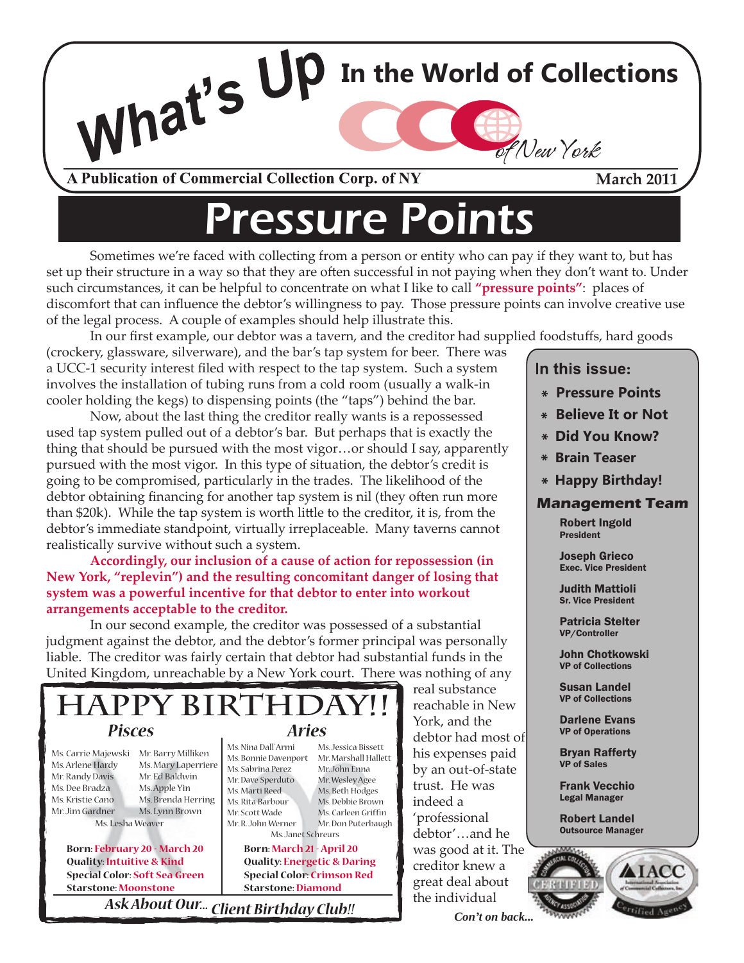

## ressure Points

**In the World of Collections** 

 Sometimes we're faced with collecting from a person or entity who can pay if they want to, but has set up their structure in a way so that they are often successful in not paying when they don't want to. Under such circumstances, it can be helpful to concentrate on what I like to call **"pressure points"**: places of discomfort that can influence the debtor's willingness to pay. Those pressure points can involve creative use of the legal process. A couple of examples should help illustrate this.

In our first example, our debtor was a tavern, and the creditor had supplied foodstuffs, hard goods

(crockery, glassware, silverware), and the bar's tap system for beer. There was a UCC-1 security interest filed with respect to the tap system. Such a system involves the installation of tubing runs from a cold room (usually a walk-in cooler holding the kegs) to dispensing points (the "taps") behind the bar.

 Now, about the last thing the creditor really wants is a repossessed used tap system pulled out of a debtor's bar. But perhaps that is exactly the thing that should be pursued with the most vigor…or should I say, apparently pursued with the most vigor. In this type of situation, the debtor's credit is going to be compromised, particularly in the trades. The likelihood of the debtor obtaining financing for another tap system is nil (they often run more than \$20k). While the tap system is worth little to the creditor, it is, from the debtor's immediate standpoint, virtually irreplaceable. Many taverns cannot realistically survive without such a system.

**Accordingly, our inclusion of a cause of action for repossession (in New York, "replevin") and the resulting concomitant danger of losing that system was a powerful incentive for that debtor to enter into workout arrangements acceptable to the creditor.**

 In our second example, the creditor was possessed of a substantial judgment against the debtor, and the debtor's former principal was personally liable. The creditor was fairly certain that debtor had substantial funds in the United Kingdom, unreachable by a New York court. There was nothing of any



Mr. Jim Gardner Ms. Lesha Weaver

> **Quality: Intuitive & Kind Special Color: Soft Sea Green Starstone: Moonstone**

Ms.Lynn Brown Mr. Scott Wade Ms. Carleen Griffin<br>
Neaver Mr Don Puterbauch professional Ms. Carleen Griffin Mr. Don Puterbaugh Ms. Janet Schreurs

**Born: February 20 - March 20 Born: March 21 - April 20 Was good at it. The Born: March 21 - April 20 Quality: Energetic & Daring Special Color: Crimson Red Starstone: Diamond**

*Ask About Our... Client Birthday Club!!* the individual

 real substance  $\mathcal{L}$ <br>Ms lessica Bissett debtor had most of debtor'…and he creditor knew a great deal about

In this issue:

- **Pressure Points**
- **Believe It or Not**
- **Did You Know?**
- **Brain Teaser**
- **Happy Birthday!**

## **Management Team**

Robert Ingold President

Joseph Grieco Exec. Vice President

Judith Mattioli Sr. Vice President

Patricia Stelter VP/Controller

John Chotkowski VP of Collections

Susan Landel VP of Collections

Darlene Evans VP of Operations

Bryan Rafferty VP of Sales

Frank Vecchio Legal Manager

Robert Landel Outsource Manager



*Con't on back...*

of New York

**March 2011**